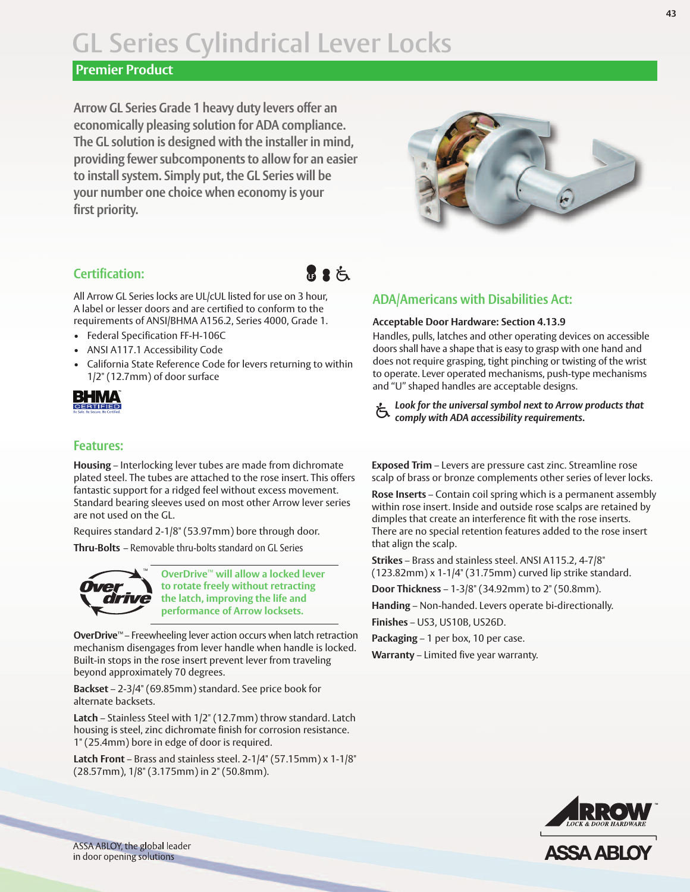# **GL Series Cylindrical Lever Locks**

#### **Premier Product**

**Arrow GL Series Grade 1 heavy duty levers offer an economically pleasing solution for ADA compliance. The GL solution is designed with the installer in mind, providing fewer subcomponents to allow for an easier to install system. Simply put, the GL Series will be your number one choice when economy is your first priority.**



#### **Certification:**

All Arrow GL Series locks are UL/cUL listed for use on 3 hour, A label or lesser doors and are certified to conform to the requirements of ANSI/BHMA A156.2, Series 4000, Grade 1.

- Federal Specification FF-H-106C
- ANSI A117.1 Accessibility Code
- California State Reference Code for levers returning to within 1/2" (12.7mm) of door surface

BHMA CERTIFIED

#### **Features:**

**Housing** – Interlocking lever tubes are made from dichromate plated steel. The tubes are attached to the rose insert. This offers fantastic support for a ridged feel without excess movement. Standard bearing sleeves used on most other Arrow lever series are not used on the GL.

Requires standard 2-1/8" (53.97mm) bore through door.

**Thru-Bolts** – Removable thru-bolts standard on GL Series



**OverDrive**™ **will allow a locked lever to rotate freely without retracting the latch, improving the life and performance of Arrow locksets.**

**OverDrive**™ – Freewheeling lever action occurs when latch retraction mechanism disengages from lever handle when handle is locked. Built-in stops in the rose insert prevent lever from traveling beyond approximately 70 degrees.

**Backset** – 2-3/4" (69.85mm) standard. See price book for alternate backsets.

**Latch** – Stainless Steel with 1/2" (12.7mm) throw standard. Latch housing is steel, zinc dichromate finish for corrosion resistance. 1" (25.4mm) bore in edge of door is required.

**Latch Front** – Brass and stainless steel. 2-1/4" (57.15mm) x 1-1/8" (28.57mm), 1/8" (3.175mm) in 2" (50.8mm).

### **ADA/Americans with Disabilities Act:**

#### **Acceptable Door Hardware: Section 4.13.9**

Handles, pulls, latches and other operating devices on accessible doors shall have a shape that is easy to grasp with one hand and does not require grasping, tight pinching or twisting of the wrist to operate. Lever operated mechanisms, push-type mechanisms and "U" shaped handles are acceptable designs.

**R** 2  $\zeta$ 

*Look for the universal symbol next to Arrow products that* **the** *comply* with ADA accessibility requirements.

**Exposed Trim** – Levers are pressure cast zinc. Streamline rose scalp of brass or bronze complements other series of lever locks.

**Rose Inserts** – Contain coil spring which is a permanent assembly within rose insert. Inside and outside rose scalps are retained by dimples that create an interference fit with the rose inserts. There are no special retention features added to the rose insert that align the scalp.

**Strikes** – Brass and stainless steel. ANSI A115.2, 4-7/8" (123.82mm) x 1-1/4" (31.75mm) curved lip strike standard.

**Door Thickness** – 1-3/8" (34.92mm) to 2" (50.8mm).

**Handing** – Non-handed. Levers operate bi-directionally.

**Finishes** – US3, US10B, US26D.

**Packaging** – 1 per box, 10 per case.

**Warranty** – Limited five year warranty.



**ASSA ABLO** 

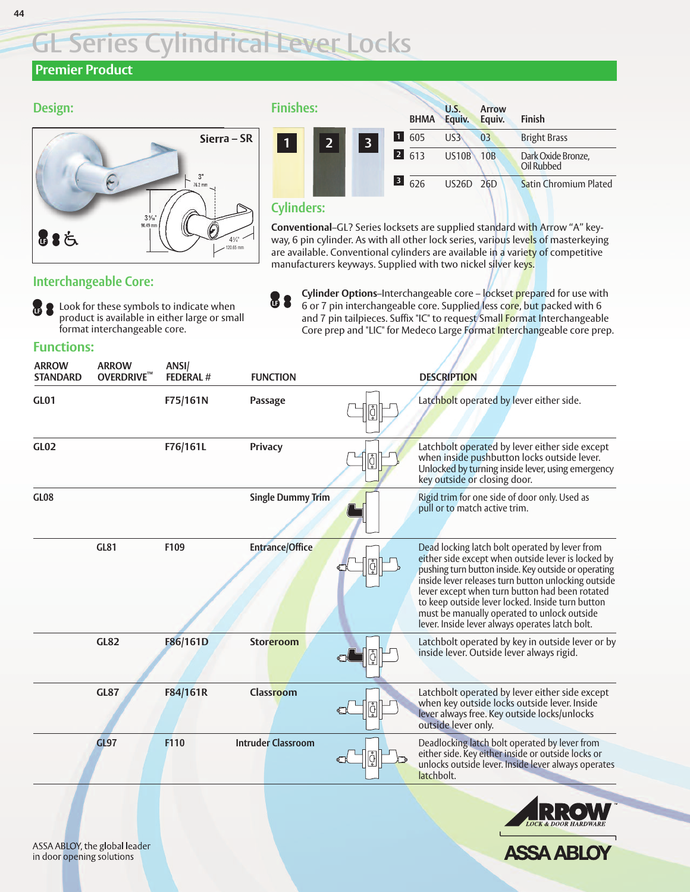# **GL Series Cylindrical Lever Locks**

## **Premier Product**

**Design:** 

## **Sierra – SR** 39 ⁄16" 3" 43 ⁄4" 76.2 mm 90.49 mm 120.65 mm **B** & 占

| inishes:                                                                                                                                                                                                                             |              |                                                             | <b>BHMA</b>                 | U.S.<br>Equiv.  | Arrow<br>Equiv. | <b>Finish</b>                    |
|--------------------------------------------------------------------------------------------------------------------------------------------------------------------------------------------------------------------------------------|--------------|-------------------------------------------------------------|-----------------------------|-----------------|-----------------|----------------------------------|
| $\mathbf{1}$                                                                                                                                                                                                                         | $\mathbf{p}$ | $\blacksquare$<br>$\overline{\mathbf{3}}$<br>$\overline{2}$ | 605                         | US <sub>3</sub> | 03              | <b>Bright Brass</b>              |
|                                                                                                                                                                                                                                      |              |                                                             | 613                         | <b>US10B</b>    | 10B             | Dark Oxide Bronze,<br>Oil Rubbed |
|                                                                                                                                                                                                                                      |              |                                                             | $\overline{\textbf{3}}$ 626 | US26D 26D       |                 | <b>Satin Chromium Plated</b>     |
| <b>The Company of the Company of the Company of the Company of the Company of the Company of the Company of the Company of the Company of the Company of the Company of the Company of the Company of the Company of the Company</b> |              |                                                             |                             |                 |                 |                                  |

#### **Cylinders:**

**Conventional**–GL? Series locksets are supplied standard with Arrow "A" keyway, 6 pin cylinder. As with all other lock series, various levels of masterkeying are available. Conventional cylinders are available in a variety of competitive manufacturers keyways. Supplied with two nickel silver keys.

#### **Interchangeable Core:**

**B** Look for these symbols to indicate when product is available in either large or small format interchangeable core.

**Cylinder Options**–Interchangeable core – lockset prepared for use with 6 or 7 pin interchangeable core. Supplied less core, but packed with 6 and 7 pin tailpieces. Suffix "IC" to request Small Format Interchangeable Core prep and "LIC" for Medeco Large Format Interchangeable core prep. **LE** 

#### **Functions:**

| <b>ARROW</b><br><b>STANDARD</b> | <b>ARROW</b><br><b>OVERDRIVE™</b> | ANSI/<br><b>FEDERAL#</b> | <b>FUNCTION</b>           |   | <b>DESCRIPTION</b>                                                                                                                                                                                                                                                                                                                                                                                                          |
|---------------------------------|-----------------------------------|--------------------------|---------------------------|---|-----------------------------------------------------------------------------------------------------------------------------------------------------------------------------------------------------------------------------------------------------------------------------------------------------------------------------------------------------------------------------------------------------------------------------|
| <b>GL01</b>                     |                                   | F75/161N                 | Passage                   |   | Latchbolt operated by lever either side.                                                                                                                                                                                                                                                                                                                                                                                    |
| <b>GL02</b>                     |                                   | F76/161L                 | Privacy                   | ĝ | Latchbolt operated by lever either side except<br>when inside pushbutton locks outside lever.<br>Unlocked by turning inside lever, using emergency<br>key outside or closing door.                                                                                                                                                                                                                                          |
| <b>GL08</b>                     |                                   |                          | <b>Single Dummy Trim</b>  |   | Rigid trim for one side of door only. Used as<br>pull or to match active trim.                                                                                                                                                                                                                                                                                                                                              |
|                                 | <b>GL81</b>                       | F109                     | <b>Entrance/Office</b>    |   | Dead locking latch bolt operated by lever from<br>either side except when outside lever is locked by<br>pushing turn button inside. Key outside or operating<br>inside lever releases turn button unlocking outside<br>lever except when turn button had been rotated<br>to keep outside lever locked. Inside turn button<br>must be manually operated to unlock outside<br>lever. Inside lever always operates latch bolt. |
|                                 | <b>GL82</b>                       | F86/161D                 | <b>Storeroom</b>          |   | Latchbolt operated by key in outside lever or by<br>inside lever. Outside lever always rigid.                                                                                                                                                                                                                                                                                                                               |
|                                 | <b>GL87</b>                       | F84/161R                 | <b>Classroom</b>          |   | Latchbolt operated by lever either side except<br>when key outside locks outside lever. Inside<br>lever always free. Key outside locks/unlocks<br>outside lever only.                                                                                                                                                                                                                                                       |
|                                 | <b>GL97</b>                       | F110                     | <b>Intruder Classroom</b> |   | Deadlocking latch bolt operated by lever from<br>either side. Key either inside or outside locks or<br>unlocks outside lever. Inside lever always operates<br>latchbolt.                                                                                                                                                                                                                                                    |
|                                 |                                   |                          |                           |   |                                                                                                                                                                                                                                                                                                                                                                                                                             |